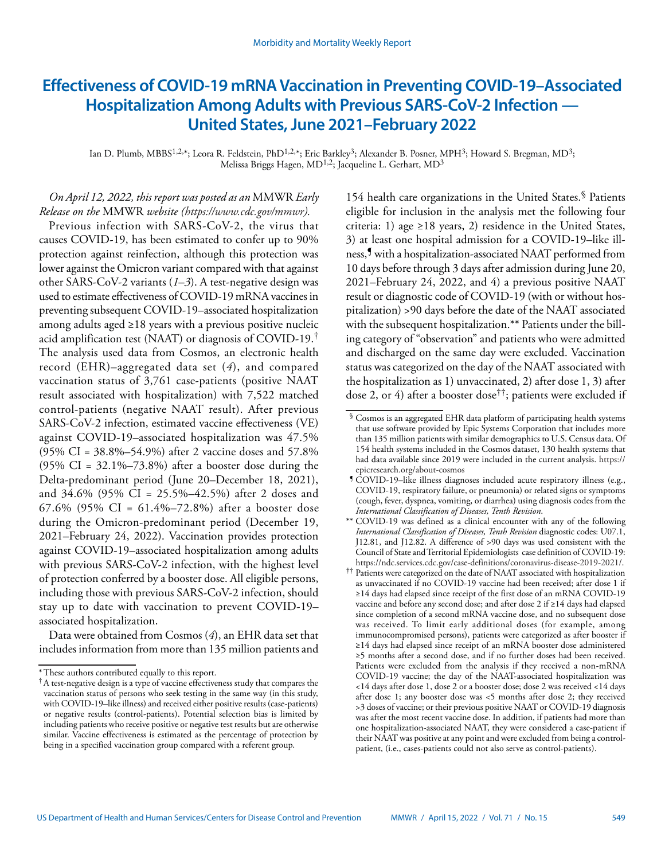# **Effectiveness of COVID-19 mRNA Vaccination in Preventing COVID-19–Associated Hospitalization Among Adults with Previous SARS-CoV-2 Infection — United States, June 2021–February 2022**

Ian D. Plumb, MBBS<sup>1,2,\*</sup>; Leora R. Feldstein, PhD<sup>1,2,\*</sup>; Eric Barkley<sup>3</sup>; Alexander B. Posner, MPH<sup>3</sup>; Howard S. Bregman, MD<sup>3</sup>; Melissa Briggs Hagen, MD<sup>1,2</sup>; Jacqueline L. Gerhart, MD<sup>3</sup>

# *On April 12, 2022, this report was posted as an* MMWR *Early Release on the* MMWR *website [\(https://www.cdc.gov/mmwr\)](https://www.cdc.gov/mmwr).*

Previous infection with SARS-CoV-2, the virus that causes COVID-19, has been estimated to confer up to 90% protection against reinfection, although this protection was lower against the Omicron variant compared with that against other SARS-CoV-2 variants (*1*–*3*). A test-negative design was used to estimate effectiveness of COVID-19 mRNA vaccines in preventing subsequent COVID-19–associated hospitalization among adults aged ≥18 years with a previous positive nucleic acid amplification test (NAAT) or diagnosis of COVID-19.† The analysis used data from Cosmos, an electronic health record (EHR)–aggregated data set (*4*), and compared vaccination status of 3,761 case-patients (positive NAAT result associated with hospitalization) with 7,522 matched control-patients (negative NAAT result). After previous SARS-CoV-2 infection, estimated vaccine effectiveness (VE) against COVID-19–associated hospitalization was 47.5% (95% CI = 38.8%–54.9%) after 2 vaccine doses and 57.8%  $(95\% \text{ CI} = 32.1\% - 73.8\%)$  after a booster dose during the Delta-predominant period (June 20–December 18, 2021), and 34.6% (95% CI = 25.5%–42.5%) after 2 doses and 67.6% (95% CI = 61.4%–72.8%) after a booster dose during the Omicron-predominant period (December 19, 2021–February 24, 2022). Vaccination provides protection against COVID-19–associated hospitalization among adults with previous SARS-CoV-2 infection, with the highest level of protection conferred by a booster dose. All eligible persons, including those with previous SARS-CoV-2 infection, should stay up to date with vaccination to prevent COVID-19– associated hospitalization.

Data were obtained from Cosmos (*4*), an EHR data set that includes information from more than 135 million patients and

154 health care organizations in the United States.<sup>§</sup> Patients eligible for inclusion in the analysis met the following four criteria: 1) age  $\geq$ 18 years, 2) residence in the United States, 3) at least one hospital admission for a COVID-19–like illness,¶ with a hospitalization-associated NAAT performed from 10 days before through 3 days after admission during June 20, 2021–February 24, 2022, and 4) a previous positive NAAT result or diagnostic code of COVID-19 (with or without hospitalization) >90 days before the date of the NAAT associated with the subsequent hospitalization.\*\* Patients under the billing category of "observation" and patients who were admitted and discharged on the same day were excluded. Vaccination status was categorized on the day of the NAAT associated with the hospitalization as 1) unvaccinated, 2) after dose 1, 3) after dose 2, or 4) after a booster dose††; patients were excluded if

<sup>\*</sup>These authors contributed equally to this report.

<sup>†</sup>A test-negative design is a type of vaccine effectiveness study that compares the vaccination status of persons who seek testing in the same way (in this study, with COVID-19–like illness) and received either positive results (case-patients) or negative results (control-patients). Potential selection bias is limited by including patients who receive positive or negative test results but are otherwise similar. Vaccine effectiveness is estimated as the percentage of protection by being in a specified vaccination group compared with a referent group.

<sup>§</sup> Cosmos is an aggregated EHR data platform of participating health systems that use software provided by Epic Systems Corporation that includes more than 135 million patients with similar demographics to U.S. Census data. Of 154 health systems included in the Cosmos dataset, 130 health systems that had data available since 2019 were included in the current analysis. [https://](https://epicresearch.org/about-cosmos) [epicresearch.org/about-cosmos](https://epicresearch.org/about-cosmos)

<sup>¶</sup> COVID-19–like illness diagnoses included acute respiratory illness (e.g., COVID-19, respiratory failure, or pneumonia) or related signs or symptoms (cough, fever, dyspnea, vomiting, or diarrhea) using diagnosis codes from the *International Classification of Diseases, Tenth Revision*.

<sup>\*\*</sup> COVID-19 was defined as a clinical encounter with any of the following *International Classification of Diseases, Tenth Revision* diagnostic codes: U07.1, J12.81, and J12.82. A difference of >90 days was used consistent with the Council of State and Territorial Epidemiologists case definition of COVID-19:

<sup>&</sup>lt;sup>††</sup> Patients were categorized on the date of NAAT associated with hospitalization as unvaccinated if no COVID-19 vaccine had been received; after dose 1 if ≥14 days had elapsed since receipt of the first dose of an mRNA COVID-19 vaccine and before any second dose; and after dose 2 if ≥14 days had elapsed since completion of a second mRNA vaccine dose, and no subsequent dose was received. To limit early additional doses (for example, among immunocompromised persons), patients were categorized as after booster if ≥14 days had elapsed since receipt of an mRNA booster dose administered ≥5 months after a second dose, and if no further doses had been received. Patients were excluded from the analysis if they received a non-mRNA COVID-19 vaccine; the day of the NAAT-associated hospitalization was <14 days after dose 1, dose 2 or a booster dose; dose 2 was received <14 days after dose 1; any booster dose was <5 months after dose 2; they received >3 doses of vaccine; or their previous positive NAAT or COVID-19 diagnosis was after the most recent vaccine dose. In addition, if patients had more than one hospitalization-associated NAAT, they were considered a case-patient if their NAAT was positive at any point and were excluded from being a controlpatient, (i.e., cases-patients could not also serve as control-patients).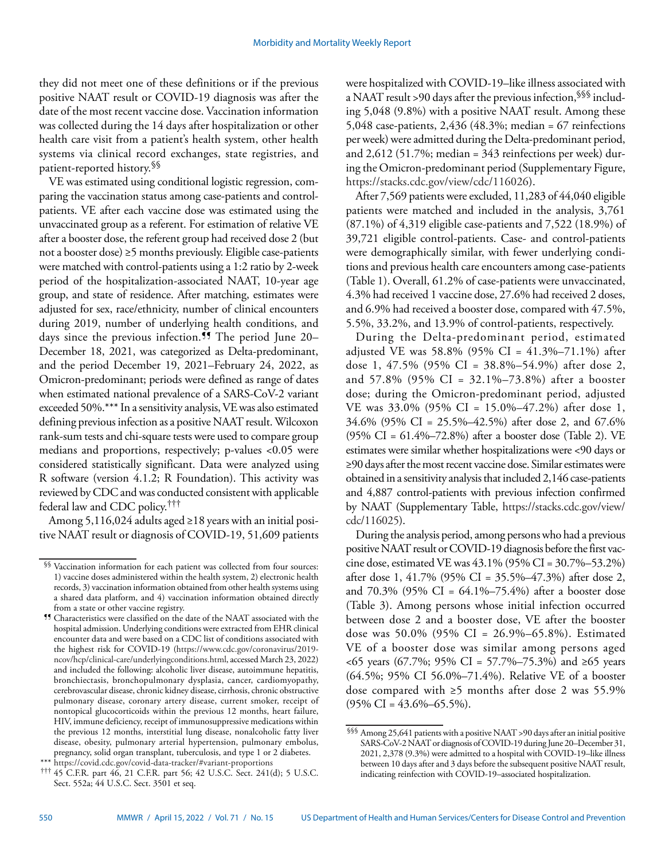they did not meet one of these definitions or if the previous positive NAAT result or COVID-19 diagnosis was after the date of the most recent vaccine dose. Vaccination information was collected during the 14 days after hospitalization or other health care visit from a patient's health system, other health systems via clinical record exchanges, state registries, and patient-reported history.§§

VE was estimated using conditional logistic regression, comparing the vaccination status among case-patients and controlpatients. VE after each vaccine dose was estimated using the unvaccinated group as a referent. For estimation of relative VE after a booster dose, the referent group had received dose 2 (but not a booster dose)  $\geq$ 5 months previously. Eligible case-patients were matched with control-patients using a 1:2 ratio by 2-week period of the hospitalization-associated NAAT, 10-year age group, and state of residence. After matching, estimates were adjusted for sex, race/ethnicity, number of clinical encounters during 2019, number of underlying health conditions, and days since the previous infection.<sup>99</sup> The period June 20-December 18, 2021, was categorized as Delta-predominant, and the period December 19, 2021–February 24, 2022, as Omicron-predominant; periods were defined as range of dates when estimated national prevalence of a SARS-CoV-2 variant exceeded 50%.\*\*\* In a sensitivity analysis, VE was also estimated defining previous infection as a positive NAAT result. Wilcoxon rank-sum tests and chi-square tests were used to compare group medians and proportions, respectively; p-values <0.05 were considered statistically significant. Data were analyzed using R software (version 4.1.2; R Foundation). This activity was reviewed by CDC and was conducted consistent with applicable federal law and CDC policy.†††

Among 5,116,024 adults aged ≥18 years with an initial positive NAAT result or diagnosis of COVID-19, 51,609 patients were hospitalized with COVID-19–like illness associated with a NAAT result >90 days after the previous infection,§§§ including 5,048 (9.8%) with a positive NAAT result. Among these 5,048 case-patients, 2,436 (48.3%; median = 67 reinfections per week) were admitted during the Delta-predominant period, and 2,612 (51.7%; median = 343 reinfections per week) during the Omicron-predominant period (Supplementary Figure, [https://stacks.cdc.gov/view/cdc/116026\)](https://stacks.cdc.gov/view/cdc/116026).

After 7,569 patients were excluded, 11,283 of 44,040 eligible patients were matched and included in the analysis, 3,761 (87.1%) of 4,319 eligible case-patients and 7,522 (18.9%) of 39,721 eligible control-patients. Case- and control-patients were demographically similar, with fewer underlying conditions and previous health care encounters among case-patients (Table 1). Overall, 61.2% of case-patients were unvaccinated, 4.3% had received 1 vaccine dose, 27.6% had received 2 doses, and 6.9% had received a booster dose, compared with 47.5%, 5.5%, 33.2%, and 13.9% of control-patients, respectively.

During the Delta-predominant period, estimated adjusted VE was 58.8% (95% CI = 41.3%–71.1%) after dose 1, 47.5% (95% CI = 38.8%–54.9%) after dose 2, and 57.8% (95% CI = 32.1%–73.8%) after a booster dose; during the Omicron-predominant period, adjusted VE was 33.0% (95% CI = 15.0%–47.2%) after dose 1, 34.6% (95% CI = 25.5%–42.5%) after dose 2, and 67.6% (95% CI = 61.4%–72.8%) after a booster dose (Table 2). VE estimates were similar whether hospitalizations were <90 days or ≥90 days after the most recent vaccine dose. Similar estimates were obtained in a sensitivity analysis that included 2,146 case-patients and 4,887 control-patients with previous infection confirmed by NAAT (Supplementary Table, [https://stacks.cdc.gov/view/](https://stacks.cdc.gov/view/cdc/116025) [cdc/116025](https://stacks.cdc.gov/view/cdc/116025)).

During the analysis period, among persons who had a previous positive NAAT result or COVID-19 diagnosis before the first vaccine dose, estimated VE was 43.1% (95% CI = 30.7%–53.2%) after dose 1, 41.7% (95% CI = 35.5%–47.3%) after dose 2, and 70.3% (95% CI = 64.1%–75.4%) after a booster dose (Table 3). Among persons whose initial infection occurred between dose 2 and a booster dose, VE after the booster dose was 50.0% (95% CI = 26.9%–65.8%). Estimated VE of a booster dose was similar among persons aged <65 years (67.7%; 95% CI = 57.7%–75.3%) and ≥65 years (64.5%; 95% CI 56.0%–71.4%). Relative VE of a booster dose compared with ≥5 months after dose 2 was 55.9%  $(95\% \text{ CI} = 43.6\% - 65.5\%).$ 

<sup>§§</sup> Vaccination information for each patient was collected from four sources: 1) vaccine doses administered within the health system, 2) electronic health records, 3) vaccination information obtained from other health systems using a shared data platform, and 4) vaccination information obtained directly from a state or other vaccine registry.

<sup>¶¶</sup> Characteristics were classified on the date of the NAAT associated with the hospital admission. Underlying conditions were extracted from EHR clinical encounter data and were based on a CDC list of conditions associated with the highest risk for COVID-19 [\(https://www.cdc.gov/coronavirus/2019](https://www.cdc.gov/coronavirus/2019-ncov/hcp/clinical-care/underlyingconditions.html) [ncov/hcp/clinical-care/underlyingconditions.html](https://www.cdc.gov/coronavirus/2019-ncov/hcp/clinical-care/underlyingconditions.html), accessed March 23, 2022) and included the following: alcoholic liver disease, autoimmune hepatitis, bronchiectasis, bronchopulmonary dysplasia, cancer, cardiomyopathy, cerebrovascular disease, chronic kidney disease, cirrhosis, chronic obstructive pulmonary disease, coronary artery disease, current smoker, receipt of nontopical glucocorticoids within the previous 12 months, heart failure, HIV, immune deficiency, receipt of immunosuppressive medications within the previous 12 months, interstitial lung disease, nonalcoholic fatty liver disease, obesity, pulmonary arterial hypertension, pulmonary embolus, pregnancy, solid organ transplant, tuberculosis, and type 1 or 2 diabetes.

<sup>\*\*\*</sup> <https://covid.cdc.gov/covid-data-tracker/#variant-proportions>

<sup>†††</sup> 45 C.F.R. part 46, 21 C.F.R. part 56; 42 U.S.C. Sect. 241(d); 5 U.S.C. Sect. 552a; 44 U.S.C. Sect. 3501 et seq.

 $\S$  Among 25,641 patients with a positive NAAT >90 days after an initial positive SARS-CoV-2 NAAT or diagnosis of COVID-19 during June 20–December 31, 2021, 2,378 (9.3%) were admitted to a hospital with COVID-19–like illness between 10 days after and 3 days before the subsequent positive NAAT result, indicating reinfection with COVID-19–associated hospitalization.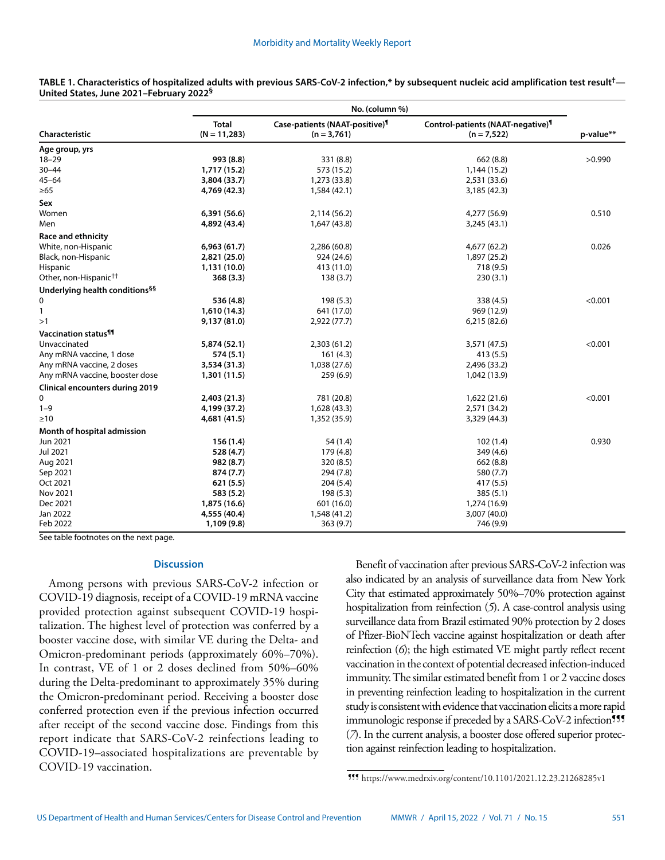|                                            | No. (column %)                 |                                                             |                                                                |           |
|--------------------------------------------|--------------------------------|-------------------------------------------------------------|----------------------------------------------------------------|-----------|
| Characteristic                             | <b>Total</b><br>$(N = 11,283)$ | Case-patients (NAAT-positive) <sup>1</sup><br>$(n = 3,761)$ | Control-patients (NAAT-negative) <sup>1</sup><br>$(n = 7,522)$ | p-value** |
| Age group, yrs                             |                                |                                                             |                                                                |           |
| $18 - 29$                                  | 993 (8.8)                      | 331 (8.8)                                                   | 662(8.8)                                                       | >0.990    |
| $30 - 44$                                  | 1,717 (15.2)                   | 573 (15.2)                                                  | 1,144 (15.2)                                                   |           |
| $45 - 64$                                  | 3,804 (33.7)                   | 1,273 (33.8)                                                | 2,531 (33.6)                                                   |           |
| $\geq 65$                                  | 4,769 (42.3)                   | 1,584 (42.1)                                                | 3,185 (42.3)                                                   |           |
| Sex                                        |                                |                                                             |                                                                |           |
| Women                                      | 6,391 (56.6)                   | 2,114 (56.2)                                                | 4,277 (56.9)                                                   | 0.510     |
| Men                                        | 4,892 (43.4)                   | 1,647 (43.8)                                                | 3,245 (43.1)                                                   |           |
| <b>Race and ethnicity</b>                  |                                |                                                             |                                                                |           |
| White, non-Hispanic                        | 6,963(61.7)                    | 2,286 (60.8)                                                | 4,677 (62.2)                                                   | 0.026     |
| Black, non-Hispanic                        | 2,821 (25.0)                   | 924 (24.6)                                                  | 1,897 (25.2)                                                   |           |
| Hispanic                                   | 1,131 (10.0)                   | 413 (11.0)                                                  | 718 (9.5)                                                      |           |
| Other, non-Hispanic <sup>††</sup>          | 368(3.3)                       | 138(3.7)                                                    | 230(3.1)                                                       |           |
| Underlying health conditions <sup>§§</sup> |                                |                                                             |                                                                |           |
| 0                                          | 536 (4.8)                      | 198(5.3)                                                    | 338 (4.5)                                                      | < 0.001   |
| 1                                          | 1,610 (14.3)                   | 641 (17.0)                                                  | 969 (12.9)                                                     |           |
| >1                                         | 9,137 (81.0)                   | 2,922 (77.7)                                                | 6,215 (82.6)                                                   |           |
| Vaccination status <sup>11</sup>           |                                |                                                             |                                                                |           |
| Unvaccinated                               | 5,874 (52.1)                   | 2,303 (61.2)                                                | 3,571 (47.5)                                                   | < 0.001   |
| Any mRNA vaccine, 1 dose                   | 574(5.1)                       | 161(4.3)                                                    | 413(5.5)                                                       |           |
| Any mRNA vaccine, 2 doses                  | 3,534 (31.3)                   | 1,038 (27.6)                                                | 2,496 (33.2)                                                   |           |
| Any mRNA vaccine, booster dose             | 1,301 (11.5)                   | 259(6.9)                                                    | 1,042 (13.9)                                                   |           |
| <b>Clinical encounters during 2019</b>     |                                |                                                             |                                                                |           |
| 0                                          | 2,403 (21.3)                   | 781 (20.8)                                                  | 1,622 (21.6)                                                   | < 0.001   |
| $1 - 9$                                    | 4,199 (37.2)                   | 1,628 (43.3)                                                | 2,571 (34.2)                                                   |           |
| $\geq 10$                                  | 4,681 (41.5)                   | 1,352 (35.9)                                                | 3,329 (44.3)                                                   |           |
| Month of hospital admission                |                                |                                                             |                                                                |           |
| Jun 2021                                   | 156(1.4)                       | 54 (1.4)                                                    | 102(1.4)                                                       | 0.930     |
| Jul 2021                                   | 528 (4.7)                      | 179 (4.8)                                                   | 349 (4.6)                                                      |           |
| Aug 2021                                   | 982 (8.7)                      | 320 (8.5)                                                   | 662 (8.8)                                                      |           |
| Sep 2021                                   | 874 (7.7)                      | 294 (7.8)                                                   | 580 (7.7)                                                      |           |
| Oct 2021                                   | 621(5.5)                       | 204(5.4)                                                    | 417 (5.5)                                                      |           |
| Nov 2021                                   | 583 (5.2)                      | 198 (5.3)                                                   | 385 (5.1)                                                      |           |
| Dec 2021                                   | 1,875 (16.6)                   | 601 (16.0)                                                  | 1,274 (16.9)                                                   |           |
| Jan 2022                                   | 4,555 (40.4)                   | 1,548 (41.2)                                                | 3,007 (40.0)                                                   |           |
| Feb 2022                                   | 1,109 (9.8)                    | 363 (9.7)                                                   | 746 (9.9)                                                      |           |

**TABLE 1. Characteristics of hospitalized adults with previous SARS-CoV-2 infection,\* by subsequent nucleic acid amplification test result†— United States, June 2021–February 2022§**

See table footnotes on the next page.

### **Discussion**

Among persons with previous SARS-CoV-2 infection or COVID-19 diagnosis, receipt of a COVID-19 mRNA vaccine provided protection against subsequent COVID-19 hospitalization. The highest level of protection was conferred by a booster vaccine dose, with similar VE during the Delta- and Omicron-predominant periods (approximately 60%–70%). In contrast, VE of 1 or 2 doses declined from 50%–60% during the Delta-predominant to approximately 35% during the Omicron-predominant period. Receiving a booster dose conferred protection even if the previous infection occurred after receipt of the second vaccine dose. Findings from this report indicate that SARS-CoV-2 reinfections leading to COVID-19–associated hospitalizations are preventable by COVID-19 vaccination.

Benefit of vaccination after previous SARS-CoV-2 infection was also indicated by an analysis of surveillance data from New York City that estimated approximately 50%–70% protection against hospitalization from reinfection (*5*). A case-control analysis using surveillance data from Brazil estimated 90% protection by 2 doses of Pfizer-BioNTech vaccine against hospitalization or death after reinfection (*6*); the high estimated VE might partly reflect recent vaccination in the context of potential decreased infection-induced immunity. The similar estimated benefit from 1 or 2 vaccine doses in preventing reinfection leading to hospitalization in the current study is consistent with evidence that vaccination elicits a more rapid immunologic response if preceded by a SARS-CoV-2 infection<sup>111</sup> (*7*). In the current analysis, a booster dose offered superior protection against reinfection leading to hospitalization.

<sup>¶¶¶</sup> <https://www.medrxiv.org/content/10.1101/2021.12.23.21268285v1>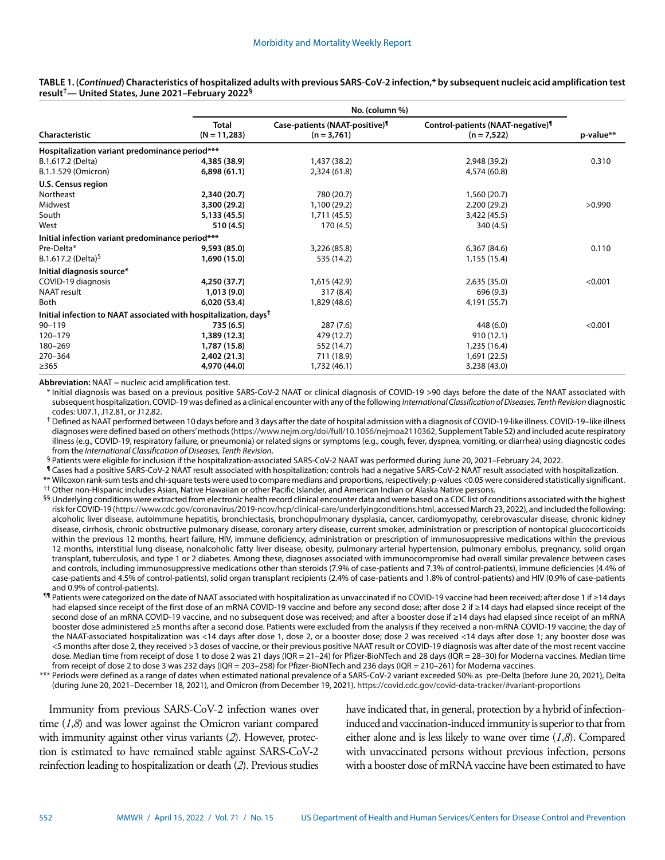|                                                                              |                         | No. (column %)                                              |                                                                |           |  |
|------------------------------------------------------------------------------|-------------------------|-------------------------------------------------------------|----------------------------------------------------------------|-----------|--|
| Characteristic                                                               | Total<br>$(N = 11,283)$ | Case-patients (NAAT-positive) <sup>1</sup><br>$(n = 3,761)$ | Control-patients (NAAT-negative) <sup>1</sup><br>$(n = 7,522)$ | p-value** |  |
| Hospitalization variant predominance period***                               |                         |                                                             |                                                                |           |  |
| B.1.617.2 (Delta)                                                            | 4,385 (38.9)            | 1,437 (38.2)                                                | 2,948 (39.2)                                                   | 0.310     |  |
| B.1.1.529 (Omicron)                                                          | 6,898(61.1)             | 2,324 (61.8)                                                | 4,574 (60.8)                                                   |           |  |
| U.S. Census region                                                           |                         |                                                             |                                                                |           |  |
| Northeast                                                                    | 2,340 (20.7)            | 780 (20.7)                                                  | 1,560 (20.7)                                                   |           |  |
| Midwest                                                                      | 3,300 (29.2)            | 1,100 (29.2)                                                | 2,200 (29.2)                                                   | >0.990    |  |
| South                                                                        | 5,133 (45.5)            | 1,711 (45.5)                                                | 3,422 (45.5)                                                   |           |  |
| West                                                                         | 510 (4.5)               | 170 (4.5)                                                   | 340 (4.5)                                                      |           |  |
| Initial infection variant predominance period***                             |                         |                                                             |                                                                |           |  |
| Pre-Delta*                                                                   | 9,593 (85.0)            | 3,226 (85.8)                                                | 6,367 (84.6)                                                   | 0.110     |  |
| B.1.617.2 (Delta) <sup>5</sup>                                               | 1,690 (15.0)            | 535 (14.2)                                                  | 1,155 (15.4)                                                   |           |  |
| Initial diagnosis source*                                                    |                         |                                                             |                                                                |           |  |
| COVID-19 diagnosis                                                           | 4,250 (37.7)            | 1,615 (42.9)                                                | 2,635(35.0)                                                    | < 0.001   |  |
| <b>NAAT</b> result                                                           | 1,013(9.0)              | 317(8.4)                                                    | 696 (9.3)                                                      |           |  |
| <b>Both</b>                                                                  | 6,020 (53.4)            | 1,829 (48.6)                                                | 4,191 (55.7)                                                   |           |  |
| Initial infection to NAAT associated with hospitalization, days <sup>†</sup> |                         |                                                             |                                                                |           |  |
| $90 - 119$                                                                   | 735 (6.5)               | 287(7.6)                                                    | 448 (6.0)                                                      | < 0.001   |  |
| 120-179                                                                      | 1,389 (12.3)            | 479 (12.7)                                                  | 910(12.1)                                                      |           |  |
| 180-269                                                                      | 1,787 (15.8)            | 552 (14.7)                                                  | 1,235 (16.4)                                                   |           |  |
| 270-364                                                                      | 2,402 (21.3)            | 711 (18.9)                                                  | 1,691 (22.5)                                                   |           |  |
| >365                                                                         | 4,970 (44.0)            | 1,732 (46.1)                                                | 3,238 (43.0)                                                   |           |  |

**TABLE 1. (***Continued***) Characteristics of hospitalized adults with previous SARS-CoV-2 infection,\* by subsequent nucleic acid amplification test result†— United States, June 2021–February 2022§**

**Abbreviation:** NAAT = nucleic acid amplification test.

\* Initial diagnosis was based on a previous positive SARS-CoV-2 NAAT or clinical diagnosis of COVID-19 >90 days before the date of the NAAT associated with subsequent hospitalization. COVID-19 was defined as a clinical encounter with any of the following *International Classification of Diseases, Tenth Revision* diagnostic codes: U07.1, J12.81, or J12.82.

<sup>†</sup> Defined as NAAT performed between 10 days before and 3 days after the date of hospital admission with a diagnosis of COVID-19-like illness. COVID-19-like illness diagnoses were defined based on others' methods [\(https://www.nejm.org/doi/full/10.1056/nejmoa2110362,](https://www.nejm.org/doi/full/10.1056/nejmoa2110362) Supplement Table S2) and included acute respiratory illness (e.g., COVID-19, respiratory failure, or pneumonia) or related signs or symptoms (e.g., cough, fever, dyspnea, vomiting, or diarrhea) using diagnostic codes from the International Classification of Diseases. Tenth

<sup>§</sup> Patients were eligible for inclusion if the hospitalization-associated SARS-CoV-2 NAAT was performed during June 20, 2021–February 24, 2022.

¶ Cases had a positive SARS-CoV-2 NAAT result associated with hospitalization; controls had a negative SARS-CoV-2 NAAT result associated with hospitalization.

\*\* Wilcoxon rank-sum tests and chi-square tests were used to compare medians and proportions, respectively; p-values <0.05 were considered statistically significant. †† Other non-Hispanic includes Asian, Native Hawaiian or other Pacific Islander, and American Indian or Alaska Native persons.

<sup>§§</sup> Underlying conditions were extracted from electronic health record clinical encounter data and were based on a CDC list of conditions associated with the highest risk for COVID-19 [\(https://www.cdc.gov/coronavirus/2019-ncov/hcp/clinical-care/underlyingconditions.html,](https://www.cdc.gov/coronavirus/2019-ncov/hcp/clinical-care/underlyingconditions.html) accessed March 23, 2022), and included the following: alcoholic liver disease, autoimmune hepatitis, bronchiectasis, bronchopulmonary dysplasia, cancer, cardiomyopathy, cerebrovascular disease, chronic kidney disease, cirrhosis, chronic obstructive pulmonary disease, coronary artery disease, current smoker, administration or prescription of nontopical glucocorticoids within the previous 12 months, heart failure, HIV, immune deficiency, administration or prescription of immunosuppressive medications within the previous 12 months, interstitial lung disease, nonalcoholic fatty liver disease, obesity, pulmonary arterial hypertension, pulmonary embolus, pregnancy, solid organ transplant, tuberculosis, and type 1 or 2 diabetes. Among these, diagnoses associated with immunocompromise had overall similar prevalence between cases and controls, including immunosuppressive medications other than steroids (7.9% of case-patients and 7.3% of control-patients), immune deficiencies (4.4% of case-patients and 4.5% of control-patients), solid organ transplant recipients (2.4% of case-patients and 1.8% of control-patients) and HIV (0.9% of case-patients and 0.9% of control-patients).

¶¶ Patients were categorized on the date of NAAT associated with hospitalization as unvaccinated if no COVID-19 vaccine had been received; after dose 1 if ≥14 days had elapsed since receipt of the first dose of an mRNA COVID-19 vaccine and before any second dose; after dose 2 if ≥14 days had elapsed since receipt of the second dose of an mRNA COVID-19 vaccine, and no subsequent dose was received; and after a booster dose if ≥14 days had elapsed since receipt of an mRNA booster dose administered ≥5 months after a second dose. Patients were excluded from the analysis if they received a non-mRNA COVID-19 vaccine; the day of the NAAT-associated hospitalization was <14 days after dose 1, dose 2, or a booster dose; dose 2 was received <14 days after dose 1; any booster dose was <5 months after dose 2, they received >3 doses of vaccine, or their previous positive NAAT result or COVID-19 diagnosis was after date of the most recent vaccine dose. Median time from receipt of dose 1 to dose 2 was 21 days (IQR = 21-24) for Pfizer-BioNTech and 28 days (IQR = 28-30) for Moderna vaccines. Median time from receipt of dose 2 to dose 3 was 232 days (IQR = 203–258) for Pfizer-BioNTech and 236 days (IQR = 210–261) for Moderna vaccines.

\*\*\* Periods were defined as a range of dates when estimated national prevalence of a SARS-CoV-2 variant exceeded 50% as pre-Delta (before June 20, 2021), Delta (during June 20, 2021–December 18, 2021), and Omicron (from December 19, 2021).<https://covid.cdc.gov/covid-data-tracker/#variant-proportions>

Immunity from previous SARS-CoV-2 infection wanes over time (*1*,*8*) and was lower against the Omicron variant compared with immunity against other virus variants (*2*). However, protection is estimated to have remained stable against SARS-CoV-2 reinfection leading to hospitalization or death (*2*). Previous studies have indicated that, in general, protection by a hybrid of infectioninduced and vaccination-induced immunity is superior to that from either alone and is less likely to wane over time (*1*,*8*). Compared with unvaccinated persons without previous infection, persons with a booster dose of mRNA vaccine have been estimated to have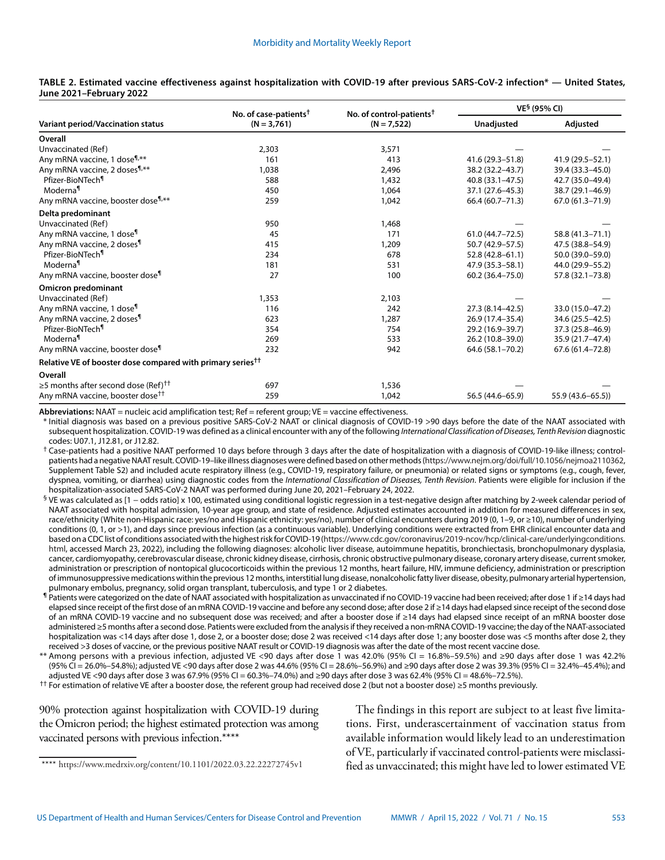|                                                                        | No. of case-patients <sup>†</sup> | No. of control-patients <sup>†</sup> | VE <sup>§</sup> (95% CI) |                    |
|------------------------------------------------------------------------|-----------------------------------|--------------------------------------|--------------------------|--------------------|
| <b>Variant period/Vaccination status</b>                               | $(N = 3,761)$                     | $(N = 7,522)$                        | Unadjusted               | Adjusted           |
| Overall                                                                |                                   |                                      |                          |                    |
| Unvaccinated (Ref)                                                     | 2,303                             | 3,571                                |                          |                    |
| Any mRNA vaccine, 1 dose <sup>¶</sup> ,**                              | 161                               | 413                                  | 41.6 (29.3-51.8)         | 41.9 (29.5 - 52.1) |
| Any mRNA vaccine, 2 doses <sup>¶,**</sup>                              | 1,038                             | 2,496                                | 38.2 (32.2-43.7)         | 39.4 (33.3-45.0)   |
| Pfizer-BioNTech <sup>¶</sup>                                           | 588                               | 1,432                                | 40.8 (33.1-47.5)         | 42.7 (35.0-49.4)   |
| Moderna <sup>1</sup>                                                   | 450                               | 1,064                                | 37.1 (27.6–45.3)         | 38.7 (29.1-46.9)   |
| Any mRNA vaccine, booster dose <sup>¶,**</sup>                         | 259                               | 1,042                                | 66.4 (60.7-71.3)         | 67.0 (61.3-71.9)   |
| Delta predominant                                                      |                                   |                                      |                          |                    |
| Unvaccinated (Ref)                                                     | 950                               | 1,468                                |                          |                    |
| Any mRNA vaccine, 1 dose <sup>¶</sup>                                  | 45                                | 171                                  | $61.0(44.7 - 72.5)$      | 58.8 (41.3-71.1)   |
| Any mRNA vaccine, 2 doses <sup>1</sup>                                 | 415                               | 1,209                                | 50.7 (42.9–57.5)         | 47.5 (38.8–54.9)   |
| Pfizer-BioNTech <sup>1</sup>                                           | 234                               | 678                                  | 52.8 (42.8-61.1)         | 50.0 (39.0-59.0)   |
| Moderna <sup>¶</sup>                                                   | 181                               | 531                                  | 47.9 (35.3-58.1)         | 44.0 (29.9-55.2)   |
| Any mRNA vaccine, booster dose <sup>1</sup>                            | 27                                | 100                                  | $60.2(36.4 - 75.0)$      | 57.8 (32.1-73.8)   |
| <b>Omicron predominant</b>                                             |                                   |                                      |                          |                    |
| Unvaccinated (Ref)                                                     | 1,353                             | 2,103                                |                          |                    |
| Any mRNA vaccine, 1 dose <sup>¶</sup>                                  | 116                               | 242                                  | 27.3 (8.14 - 42.5)       | 33.0 (15.0-47.2)   |
| Any mRNA vaccine, 2 doses <sup>¶</sup>                                 | 623                               | 1,287                                | 26.9 (17.4-35.4)         | 34.6 (25.5-42.5)   |
| Pfizer-BioNTech <sup>1</sup>                                           | 354                               | 754                                  | 29.2 (16.9-39.7)         | 37.3 (25.8-46.9)   |
| Moderna <sup>¶</sup>                                                   | 269                               | 533                                  | 26.2 (10.8-39.0)         | 35.9 (21.7-47.4)   |
| Any mRNA vaccine, booster dose <sup>¶</sup>                            | 232                               | 942                                  | 64.6 (58.1-70.2)         | 67.6 (61.4-72.8)   |
| Relative VE of booster dose compared with primary series <sup>††</sup> |                                   |                                      |                          |                    |
| Overall                                                                |                                   |                                      |                          |                    |
| $\geq$ 5 months after second dose (Ref) <sup>††</sup>                  | 697                               | 1,536                                |                          |                    |
| Any mRNA vaccine, booster dose <sup>††</sup>                           | 259                               | 1,042                                | 56.5 (44.6-65.9)         | 55.9 (43.6-65.5))  |

#### **TABLE 2. Estimated vaccine effectiveness against hospitalization with COVID-19 after previous SARS-CoV-2 infection\* — United States, June 2021–February 2022**

**Abbreviations:** NAAT = nucleic acid amplification test; Ref = referent group; VE = vaccine effectiveness.

\* Initial diagnosis was based on a previous positive SARS-CoV-2 NAAT or clinical diagnosis of COVID-19 >90 days before the date of the NAAT associated with subsequent hospitalization. COVID-19 was defined as a clinical encounter with any of the following *International Classification of Diseases, Tenth Revision* diagnostic codes: U07.1, J12.81, or J12.82.

 $^{\dagger}$  Case-patients had a positive NAAT performed 10 days before through 3 days after the date of hospitalization with a diagnosis of COVID-19-like illness; controlpatients had a negative NAAT result. COVID-19–like illness diagnoses were defined based on other methods [\(https://www.nejm.org/doi/full/10.1056/nejmoa2110362](https://www.nejm.org/doi/full/10.1056/nejmoa2110362), Supplement Table S2) and included acute respiratory illness (e.g., COVID-19, respiratory failure, or pneumonia) or related signs or symptoms (e.g., cough, fever, dyspnea, vomiting, or diarrhea) using diagnostic codes from the *International Classification of Diseases, Tenth Revision*. Patients were eligible for inclusion if the hospitalization-associated SARS-CoV-2 NAAT was performed during June 20, 2021–February 24, 2022.

- § VE was calculated as [1 odds ratio] x 100, estimated using conditional logistic regression in a test-negative design after matching by 2-week calendar period of NAAT associated with hospital admission, 10-year age group, and state of residence. Adjusted estimates accounted in addition for measured differences in sex, race/ethnicity (White non-Hispanic race: yes/no and Hispanic ethnicity: yes/no), number of clinical encounters during 2019 (0, 1–9, or ≥10), number of underlying conditions (0, 1, or >1), and days since previous infection (as a continuous variable). Underlying conditions were extracted from EHR clinical encounter data and based on a CDC list of conditions associated with the highest risk for COVID-19 [\(https://www.cdc.gov/coronavirus/2019-ncov/hcp/clinical-care/underlyingconditions.](https://www.cdc.gov/coronavirus/2019-ncov/hcp/clinical-care/underlyingconditions.html) [html,](https://www.cdc.gov/coronavirus/2019-ncov/hcp/clinical-care/underlyingconditions.html) accessed March 23, 2022), including the following diagnoses: alcoholic liver disease, autoimmune hepatitis, bronchiectasis, bronchopulmonary dysplasia, cancer, cardiomyopathy, cerebrovascular disease, chronic kidney disease, cirrhosis, chronic obstructive pulmonary disease, coronary artery disease, current smoker, administration or prescription of nontopical glucocorticoids within the previous 12 months, heart failure, HIV, immune deficiency, administration or prescription of immunosuppressive medications within the previous 12 months, interstitial lung disease, nonalcoholic fatty liver disease, obesity, pulmonary arterial hypertension, pulmonary embolus, pregnancy, solid organ transplant, tuberculosis, and type 1 or 2 diabetes.
- ¶ Patients were categorized on the date of NAAT associated with hospitalization as unvaccinated if no COVID-19 vaccine had been received; after dose 1 if ≥14 days had elapsed since receipt of the first dose of an mRNA COVID-19 vaccine and before any second dose; after dose 2 if ≥14 days had elapsed since receipt of the second dose of an mRNA COVID-19 vaccine and no subsequent dose was received; and after a booster dose if ≥14 days had elapsed since receipt of an mRNA booster dose administered ≥5 months after a second dose. Patients were excluded from the analysis if they received a non-mRNA COVID-19 vaccine; the day of the NAAT-associated hospitalization was <14 days after dose 1, dose 2, or a booster dose; dose 2 was received <14 days after dose 1; any booster dose was <5 months after dose 2, they received >3 doses of vaccine, or the previous positive NAAT result or COVID-19 diagnosis was after the date of the most recent vaccine dose.
- \*\* Among persons with a previous infection, adjusted VE <90 days after dose 1 was 42.0% (95% CI = 16.8%–59.5%) and ≥90 days after dose 1 was 42.2% (95% CI = 26.0%–54.8%); adjusted VE <90 days after dose 2 was 44.6% (95% CI = 28.6%–56.9%) and ≥90 days after dose 2 was 39.3% (95% CI = 32.4%–45.4%); and adjusted VE <90 days after dose 3 was 67.9% (95% CI = 60.3%–74.0%) and ≥90 days after dose 3 was 62.4% (95% CI = 48.6%–72.5%).

†† For estimation of relative VE after a booster dose, the referent group had received dose 2 (but not a booster dose) ≥5 months previously.

90% protection against hospitalization with COVID-19 during the Omicron period; the highest estimated protection was among vaccinated persons with previous infection.\*\*\*\*

The findings in this report are subject to at least five limitations. First, underascertainment of vaccination status from available information would likely lead to an underestimation of VE, particularly if vaccinated control-patients were misclassified as unvaccinated; this might have led to lower estimated VE

<sup>\*\*\*\*</sup> <https://www.medrxiv.org/content/10.1101/2022.03.22.22272745v1>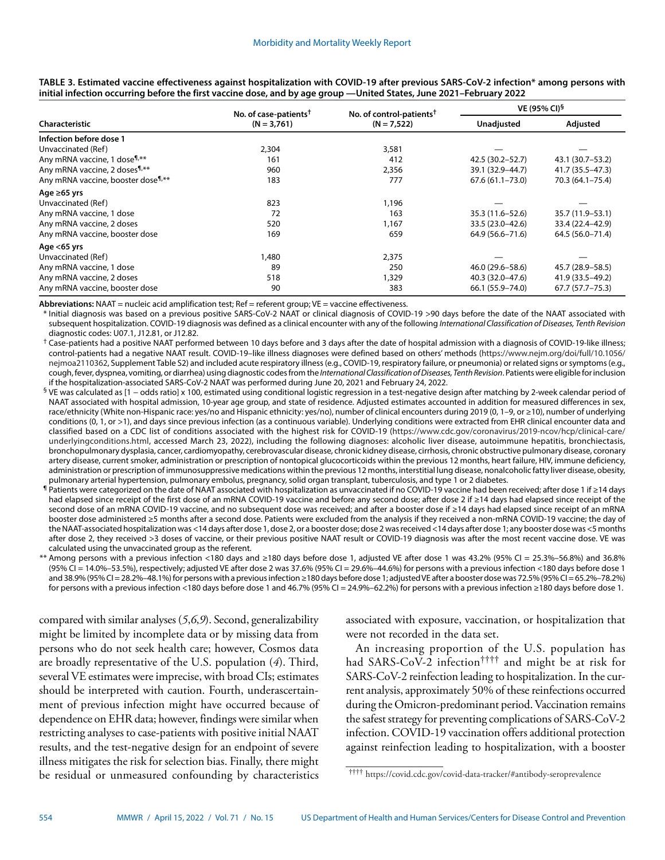|                                                           | No. of case-patients <sup>†</sup> | No. of control-patients <sup>†</sup> | VE (95% CI) <sup>§</sup> |                     |
|-----------------------------------------------------------|-----------------------------------|--------------------------------------|--------------------------|---------------------|
| Characteristic                                            | $(N = 3,761)$                     | $(N = 7,522)$                        | Unadjusted               | Adjusted            |
| Infection before dose 1                                   |                                   |                                      |                          |                     |
| Unvaccinated (Ref)                                        | 2,304                             | 3,581                                |                          |                     |
| Any mRNA vaccine, 1 dose <sup>1</sup> <sup>**</sup>       | 161                               | 412                                  | 42.5 (30.2-52.7)         | 43.1 (30.7-53.2)    |
| Any mRNA vaccine, 2 doses <sup>1,**</sup>                 | 960                               | 2,356                                | 39.1 (32.9–44.7)         | 41.7 (35.5–47.3)    |
| Any mRNA vaccine, booster dose <sup>1</sup> <sup>**</sup> | 183                               | 777                                  | $67.6(61.1 - 73.0)$      | 70.3 (64.1-75.4)    |
| Age $\geq 65$ yrs                                         |                                   |                                      |                          |                     |
| Unvaccinated (Ref)                                        | 823                               | 1,196                                |                          |                     |
| Any mRNA vaccine, 1 dose                                  | 72                                | 163                                  | 35.3 (11.6–52.6)         | 35.7 (11.9–53.1)    |
| Any mRNA vaccine, 2 doses                                 | 520                               | 1,167                                | 33.5 (23.0-42.6)         | 33.4 (22.4-42.9)    |
| Any mRNA vaccine, booster dose                            | 169                               | 659                                  | 64.9 (56.6–71.6)         | 64.5 (56.0-71.4)    |
| Age $<$ 65 yrs                                            |                                   |                                      |                          |                     |
| Unvaccinated (Ref)                                        | 1,480                             | 2,375                                |                          |                     |
| Any mRNA vaccine, 1 dose                                  | 89                                | 250                                  | 46.0 (29.6–58.6)         | 45.7 (28.9–58.5)    |
| Any mRNA vaccine, 2 doses                                 | 518                               | 1,329                                | 40.3 (32.0-47.6)         | 41.9 (33.5–49.2)    |
| Any mRNA vaccine, booster dose                            | 90                                | 383                                  | 66.1 (55.9 - 74.0)       | $67.7(57.7 - 75.3)$ |

**TABLE 3. Estimated vaccine effectiveness against hospitalization with COVID-19 after previous SARS-CoV-2 infection\* among persons with initial infection occurring before the first vaccine dose, and by age group —United States, June 2021–February 2022**

Abbreviations: NAAT = nucleic acid amplification test; Ref = referent group; VE = vaccine effectiveness.

\* Initial diagnosis was based on a previous positive SARS-CoV-2 NAAT or clinical diagnosis of COVID-19 >90 days before the date of the NAAT associated with subsequent hospitalization. COVID-19 diagnosis was defined as a clinical encounter with any of the following *International Classification of Diseases, Tenth Revision* diagnostic codes: U07.1, J12.81, or J12.82.

 $^\dagger$  Case-patients had a positive NAAT performed between 10 days before and 3 days after the date of hospital admission with a diagnosis of COVID-19-like illness; control-patients had a negative NAAT result. COVID-19–like illness diagnoses were defined based on others' methods ([https://www.nejm.org/doi/full/10.1056/](https://www.nejm.org/doi/full/10.1056/nejmoa2110362) [nejmoa2110362](https://www.nejm.org/doi/full/10.1056/nejmoa2110362), Supplement Table S2) and included acute respiratory illness (e.g., COVID-19, respiratory failure, or pneumonia) or related signs or symptoms (e.g., cough, fever, dyspnea, vomiting, or diarrhea) using diagnostic codes from the *International Classification of Diseases, Tenth Revision*. Patients were eligible for inclusion if the hospitalization-associated SARS-CoV-2 NAAT was performed during June 20, 2021 and February 24, 2022.

- § VE was calculated as [1 odds ratio] x 100, estimated using conditional logistic regression in a test-negative design after matching by 2-week calendar period of NAAT associated with hospital admission, 10-year age group, and state of residence. Adjusted estimates accounted in addition for measured differences in sex, race/ethnicity (White non-Hispanic race: yes/no and Hispanic ethnicity: yes/no), number of clinical encounters during 2019 (0, 1–9, or ≥10), number of underlying conditions (0, 1, or >1), and days since previous infection (as a continuous variable). Underlying conditions were extracted from EHR clinical encounter data and classified based on a CDC list of conditions associated with the highest risk for COVID-19 ([https://www.cdc.gov/coronavirus/2019-ncov/hcp/clinical-care/](https://www.cdc.gov/coronavirus/2019-ncov/hcp/clinical-care/underlyingconditions.html) [underlyingconditions.html](https://www.cdc.gov/coronavirus/2019-ncov/hcp/clinical-care/underlyingconditions.html), accessed March 23, 2022), including the following diagnoses: alcoholic liver disease, autoimmune hepatitis, bronchiectasis, bronchopulmonary dysplasia, cancer, cardiomyopathy, cerebrovascular disease, chronic kidney disease, cirrhosis, chronic obstructive pulmonary disease, coronary artery disease, current smoker, administration or prescription of nontopical glucocorticoids within the previous 12 months, heart failure, HIV, immune deficiency, administration or prescription of immunosuppressive medications within the previous 12 months, interstitial lung disease, nonalcoholic fatty liver disease, obesity, pulmonary arterial hypertension, pulmonary embolus, pregnancy, solid organ transplant, tuberculosis, and type 1 or 2 diabetes.
- ¶ Patients were categorized on the date of NAAT associated with hospitalization as unvaccinated if no COVID-19 vaccine had been received; after dose 1 if ≥14 days had elapsed since receipt of the first dose of an mRNA COVID-19 vaccine and before any second dose; after dose 2 if ≥14 days had elapsed since receipt of the second dose of an mRNA COVID-19 vaccine, and no subsequent dose was received; and after a booster dose if ≥14 days had elapsed since receipt of an mRNA booster dose administered ≥5 months after a second dose. Patients were excluded from the analysis if they received a non-mRNA COVID-19 vaccine; the day of the NAAT-associated hospitalization was <14 days after dose 1, dose 2, or a booster dose; dose 2 was received <14 days after dose 1; any booster dose was <5 months after dose 2, they received >3 doses of vaccine, or their previous positive NAAT result or COVID-19 diagnosis was after the most recent vaccine dose. VE was calculated using the unvaccinated group as the referent.
- \*\* Among persons with a previous infection <180 days and ≥180 days before dose 1, adjusted VE after dose 1 was 43.2% (95% CI = 25.3%–56.8%) and 36.8% (95% CI = 14.0%–53.5%), respectively; adjusted VE after dose 2 was 37.6% (95% CI = 29.6%–44.6%) for persons with a previous infection <180 days before dose 1 and 38.9% (95% CI = 28.2%–48.1%) for persons with a previous infection ≥180 days before dose 1; adjusted VE after a booster dose was 72.5% (95% CI = 65.2%–78.2%) for persons with a previous infection <180 days before dose 1 and 46.7% (95% CI = 24.9%–62.2%) for persons with a previous infection ≥180 days before dose 1.

compared with similar analyses (*5*,*6*,*9*). Second, generalizability might be limited by incomplete data or by missing data from persons who do not seek health care; however, Cosmos data are broadly representative of the U.S. population (*4*). Third, several VE estimates were imprecise, with broad CIs; estimates should be interpreted with caution. Fourth, underascertainment of previous infection might have occurred because of dependence on EHR data; however, findings were similar when restricting analyses to case-patients with positive initial NAAT results, and the test-negative design for an endpoint of severe illness mitigates the risk for selection bias. Finally, there might be residual or unmeasured confounding by characteristics

associated with exposure, vaccination, or hospitalization that were not recorded in the data set.

An increasing proportion of the U.S. population has had SARS-CoV-2 infection†††† and might be at risk for SARS-CoV-2 reinfection leading to hospitalization. In the current analysis, approximately 50% of these reinfections occurred during the Omicron-predominant period. Vaccination remains the safest strategy for preventing complications of SARS-CoV-2 infection. COVID-19 vaccination offers additional protection against reinfection leading to hospitalization, with a booster

<sup>††††</sup> <https://covid.cdc.gov/covid-data-tracker/#antibody-seroprevalence>